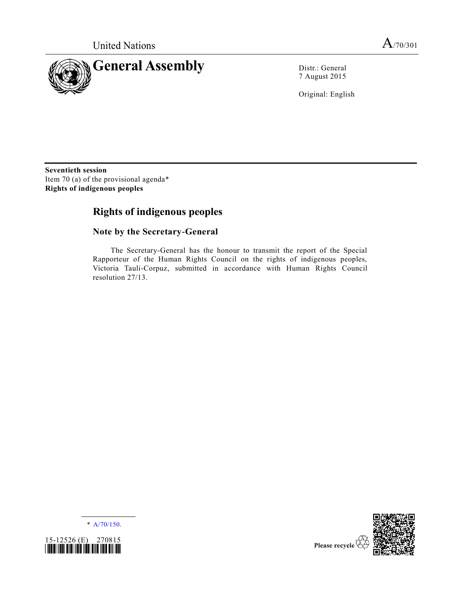

7 August 2015

Original: English

**Seventieth session** Item 70 (a) of the provisional agenda\* **Rights of indigenous peoples**

# **Rights of indigenous peoples**

## **Note by the Secretary-General**

The Secretary-General has the honour to transmit the report of the Special Rapporteur of the Human Rights Council on the rights of indigenous peoples, Victoria Tauli-Corpuz, submitted in accordance with Human Rights Council resolution 27/13.

\* [A/70/150.](http://undocs.org/A/70/150)





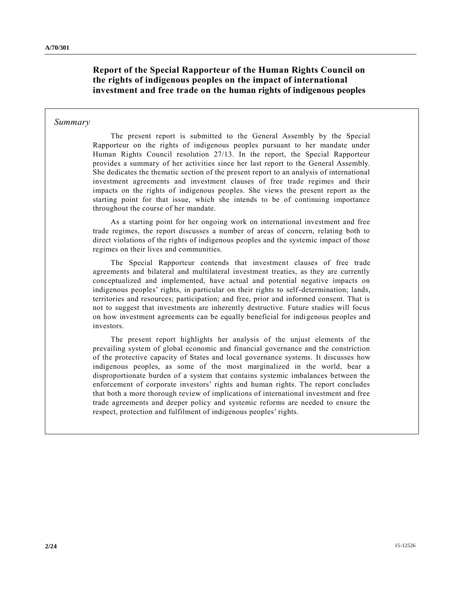## **Report of the Special Rapporteur of the Human Rights Council on the rights of indigenous peoples on the impact of international investment and free trade on the human rights of indigenous peoples**

### *Summary*

The present report is submitted to the General Assembly by the Special Rapporteur on the rights of indigenous peoples pursuant to her mandate under Human Rights Council resolution 27/13. In the report, the Special Rapporteur provides a summary of her activities since her last report to the General Assembly. She dedicates the thematic section of the present report to an analysis of international investment agreements and investment clauses of free trade regimes and their impacts on the rights of indigenous peoples. She views the present report as the starting point for that issue, which she intends to be of continuing importance throughout the course of her mandate.

As a starting point for her ongoing work on international investment and free trade regimes, the report discusses a number of areas of concern, relating both to direct violations of the rights of indigenous peoples and the systemic impact of those regimes on their lives and communities.

The Special Rapporteur contends that investment clauses of free trade agreements and bilateral and multilateral investment treaties, as they are currently conceptualized and implemented, have actual and potential negative impacts on indigenous peoples' rights, in particular on their rights to self-determination; lands, territories and resources; participation; and free, prior and informed consent. That is not to suggest that investments are inherently destructive. Future studies will focus on how investment agreements can be equally beneficial for indigenous peoples and investors.

The present report highlights her analysis of the unjust elements of the prevailing system of global economic and financial governance and the constriction of the protective capacity of States and local governance systems. It discusses how indigenous peoples, as some of the most marginalized in the world, bear a disproportionate burden of a system that contains systemic imbalances between the enforcement of corporate investors' rights and human rights. The report concludes that both a more thorough review of implications of international investment and free trade agreements and deeper policy and systemic reforms are needed to ensure the respect, protection and fulfilment of indigenous peoples' rights.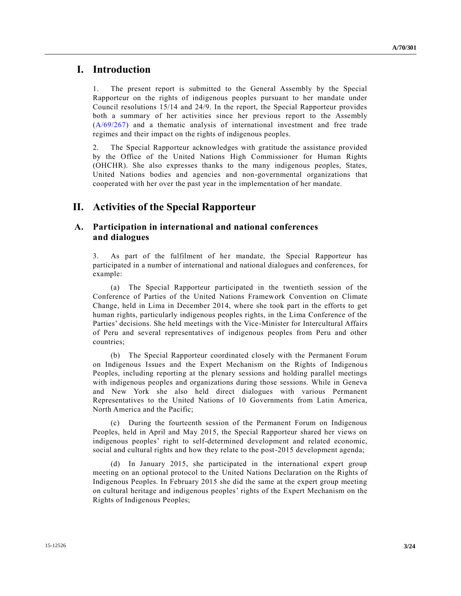## **I. Introduction**

1. The present report is submitted to the General Assembly by the Special Rapporteur on the rights of indigenous peoples pursuant to her mandate under Council resolutions 15/14 and 24/9. In the report, the Special Rapporteur provides both a summary of her activities since her previous report to the Assembly [\(A/69/267\)](http://undocs.org/A/69/267) and a thematic analysis of international investment and free trade regimes and their impact on the rights of indigenous peoples.

2. The Special Rapporteur acknowledges with gratitude the assistance provided by the Office of the United Nations High Commissioner for Human Rights (OHCHR). She also expresses thanks to the many indigenous peoples, States, United Nations bodies and agencies and non-governmental organizations that cooperated with her over the past year in the implementation of her mandate.

# **II. Activities of the Special Rapporteur**

## **A. Participation in international and national conferences and dialogues**

3. As part of the fulfilment of her mandate, the Special Rapporteur has participated in a number of international and national dialogues and conferences, for example:

(a) The Special Rapporteur participated in the twentieth session of the Conference of Parties of the United Nations Framework Convention on Climate Change, held in Lima in December 2014, where she took part in the efforts to get human rights, particularly indigenous peoples rights, in the Lima Conference of the Parties' decisions. She held meetings with the Vice-Minister for Intercultural Affairs of Peru and several representatives of indigenous peoples from Peru and other countries;

(b) The Special Rapporteur coordinated closely with the Permanent Forum on Indigenous Issues and the Expert Mechanism on the Rights of Indigenous Peoples, including reporting at the plenary sessions and holding parallel meetings with indigenous peoples and organizations during those sessions. While in Geneva and New York she also held direct dialogues with various Permanent Representatives to the United Nations of 10 Governments from Latin America, North America and the Pacific;

(c) During the fourteenth session of the Permanent Forum on Indigenous Peoples, held in April and May 2015, the Special Rapporteur shared her views on indigenous peoples' right to self-determined development and related economic, social and cultural rights and how they relate to the post-2015 development agenda;

(d) In January 2015, she participated in the international expert group meeting on an optional protocol to the United Nations Declaration on the Rights of Indigenous Peoples. In February 2015 she did the same at the expert group meeting on cultural heritage and indigenous peoples' rights of the Expert Mechanism on the Rights of Indigenous Peoples;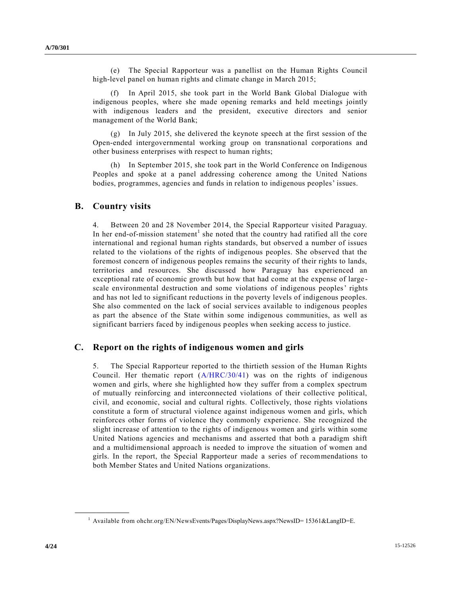(e) The Special Rapporteur was a panellist on the Human Rights Council high-level panel on human rights and climate change in March 2015;

In April 2015, she took part in the World Bank Global Dialogue with indigenous peoples, where she made opening remarks and held meetings jointly with indigenous leaders and the president, executive directors and senior management of the World Bank;

(g) In July 2015, she delivered the keynote speech at the first session of the Open-ended intergovernmental working group on transnational corporations and other business enterprises with respect to human rights;

(h) In September 2015, she took part in the World Conference on Indigenous Peoples and spoke at a panel addressing coherence among the United Nations bodies, programmes, agencies and funds in relation to indigenous peoples' issues.

### **B. Country visits**

4. Between 20 and 28 November 2014, the Special Rapporteur visited Paraguay. In her end-of-mission statement<sup>1</sup> she noted that the country had ratified all the core international and regional human rights standards, but observed a number of issues related to the violations of the rights of indigenous peoples. She observed that the foremost concern of indigenous peoples remains the security of their rights to lands, territories and resources. She discussed how Paraguay has experienced an exceptional rate of economic growth but how that had come at the expense of large scale environmental destruction and some violations of indigenous peoples' rights and has not led to significant reductions in the poverty levels of indigenous peoples. She also commented on the lack of social services available to indigenous peoples as part the absence of the State within some indigenous communities, as well as significant barriers faced by indigenous peoples when seeking access to justice.

## **C. Report on the rights of indigenous women and girls**

5. The Special Rapporteur reported to the thirtieth session of the Human Rights Council. Her thematic report  $(A/HRC/30/41)$  was on the rights of indigenous women and girls, where she highlighted how they suffer from a complex spectrum of mutually reinforcing and interconnected violations of their collective political, civil, and economic, social and cultural rights. Collectively, those rights violations constitute a form of structural violence against indigenous women and girls, which reinforces other forms of violence they commonly experience. She recognized the slight increase of attention to the rights of indigenous women and girls within some United Nations agencies and mechanisms and asserted that both a paradigm shift and a multidimensional approach is needed to improve the situation of women and girls. In the report, the Special Rapporteur made a series of recommendations to both Member States and United Nations organizations.

<sup>&</sup>lt;sup>1</sup> Available from ohchr.org/EN/NewsEvents/Pages/DisplayNews.aspx?NewsID= 15361&LangID=E.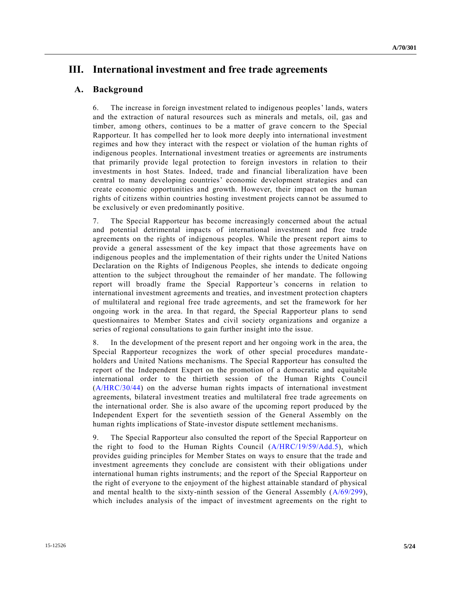# **III. International investment and free trade agreements**

## **A. Background**

6. The increase in foreign investment related to indigenous peoples' lands, waters and the extraction of natural resources such as minerals and metals, oil, gas and timber, among others, continues to be a matter of grave concern to the Special Rapporteur. It has compelled her to look more deeply into international investment regimes and how they interact with the respect or violation of the human rights of indigenous peoples. International investment treaties or agreements are instruments that primarily provide legal protection to foreign investors in relation to their investments in host States. Indeed, trade and financial liberalization have been central to many developing countries' economic development strategies and can create economic opportunities and growth. However, their impact on the human rights of citizens within countries hosting investment projects cannot be assumed to be exclusively or even predominantly positive.

7. The Special Rapporteur has become increasingly concerned about the actual and potential detrimental impacts of international investment and free trade agreements on the rights of indigenous peoples. While the present report aims to provide a general assessment of the key impact that those agreements have on indigenous peoples and the implementation of their rights under the United Nations Declaration on the Rights of Indigenous Peoples, she intends to dedicate ongoing attention to the subject throughout the remainder of her mandate. The following report will broadly frame the Special Rapporteur's concerns in relation to international investment agreements and treaties, and investment protection chapters of multilateral and regional free trade agreements, and set the framework for her ongoing work in the area. In that regard, the Special Rapporteur plans to send questionnaires to Member States and civil society organizations and organize a series of regional consultations to gain further insight into the issue.

8. In the development of the present report and her ongoing work in the area, the Special Rapporteur recognizes the work of other special procedures mandate holders and United Nations mechanisms. The Special Rapporteur has consulted the report of the Independent Expert on the promotion of a democratic and equitable international order to the thirtieth session of the Human Rights Council [\(A/HRC/30/44\)](http://undocs.org/A/HRC/30/44) on the adverse human rights impacts of international investment agreements, bilateral investment treaties and multilateral free trade agreements on the international order. She is also aware of the upcoming report produced by the Independent Expert for the seventieth session of the General Assembly on the human rights implications of State-investor dispute settlement mechanisms.

9. The Special Rapporteur also consulted the report of the Special Rapporteur on the right to food to the Human Rights Council [\(A/HRC/19/59/Add.5\)](http://undocs.org/A/HRC/19/59/Add.5), which provides guiding principles for Member States on ways to ensure that the trade and investment agreements they conclude are consistent with their obligations under international human rights instruments; and the report of the Special Rapporteur on the right of everyone to the enjoyment of the highest attainable standard of physical and mental health to the sixty-ninth session of the General Assembly [\(A/69/299\)](http://undocs.org/A/69/299), which includes analysis of the impact of investment agreements on the right to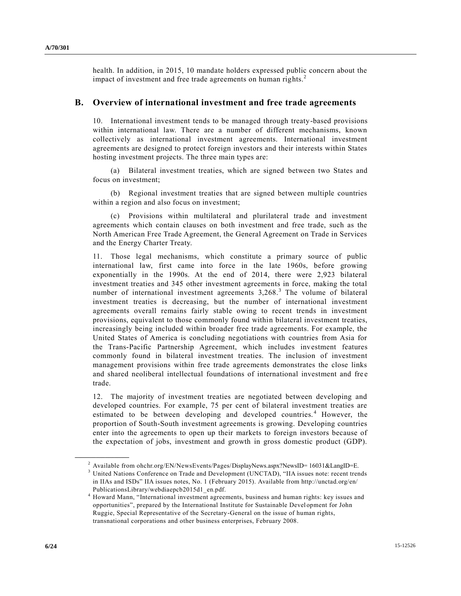health. In addition, in 2015, 10 mandate holders expressed public concern about the impact of investment and free trade agreements on human rights.<sup>2</sup>

## **B. Overview of international investment and free trade agreements**

10. International investment tends to be managed through treaty-based provisions within international law. There are a number of different mechanisms, known collectively as international investment agreements. International investment agreements are designed to protect foreign investors and their interests within States hosting investment projects. The three main types are:

(a) Bilateral investment treaties, which are signed between two States and focus on investment;

(b) Regional investment treaties that are signed between multiple countries within a region and also focus on investment;

(c) Provisions within multilateral and plurilateral trade and investment agreements which contain clauses on both investment and free trade, such as the North American Free Trade Agreement, the General Agreement on Trade in Services and the Energy Charter Treaty.

11. Those legal mechanisms, which constitute a primary source of public international law, first came into force in the late 1960s, before growing exponentially in the 1990s. At the end of 2014, there were 2,923 bilateral investment treaties and 345 other investment agreements in force, making the total number of international investment agreements  $3,268$ <sup>3</sup>. The volume of bilateral investment treaties is decreasing, but the number of international investment agreements overall remains fairly stable owing to recent trends in investment provisions, equivalent to those commonly found within bilateral investment treaties, increasingly being included within broader free trade agreements. For example, the United States of America is concluding negotiations with countries from Asia for the Trans-Pacific Partnership Agreement, which includes investment features commonly found in bilateral investment treaties. The inclusion of investment management provisions within free trade agreements demonstrates the close links and shared neoliberal intellectual foundations of international investment and fre e trade.

12. The majority of investment treaties are negotiated between developing and developed countries. For example, 75 per cent of bilateral investment treaties are estimated to be between developing and developed countries.<sup>4</sup> However, the proportion of South-South investment agreements is growing. Developing countries enter into the agreements to open up their markets to foreign investors because of the expectation of jobs, investment and growth in gross domestic product (GDP).

<sup>&</sup>lt;sup>2</sup> Available from ohchr.org/EN/NewsEvents/Pages/DisplayNews.aspx?NewsID=  $16031\&LangID=E$ .

<sup>&</sup>lt;sup>3</sup> United Nations Conference on Trade and Development (UNCTAD), "IIA issues note: recent trends in IIAs and ISDs" IIA issues notes, No. 1 (February 2015). Available from http://unctad.org/en/ PublicationsLibrary/webdiaepcb2015d1\_en.pdf.

<sup>4</sup> Howard Mann, "International investment agreements, business and human rights: key issues and opportunities", prepared by the International Institute for Sustainable Devel opment for John Ruggie, Special Representative of the Secretary-General on the issue of human rights, transnational corporations and other business enterprises, February 2008.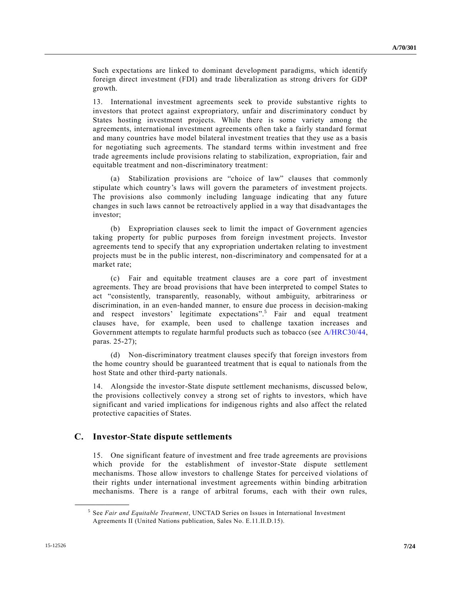Such expectations are linked to dominant development paradigms, which identify foreign direct investment (FDI) and trade liberalization as strong drivers for GDP growth.

13. International investment agreements seek to provide substantive rights to investors that protect against expropriatory, unfair and discriminatory conduct by States hosting investment projects. While there is some variety among the agreements, international investment agreements often take a fairly standard format and many countries have model bilateral investment treaties that they use as a basis for negotiating such agreements. The standard terms within investment and free trade agreements include provisions relating to stabilization, expropriation, fair and equitable treatment and non-discriminatory treatment:

(a) Stabilization provisions are "choice of law" clauses that commonly stipulate which country's laws will govern the parameters of investment projects. The provisions also commonly including language indicating that any future changes in such laws cannot be retroactively applied in a way that disadvantages the investor;

(b) Expropriation clauses seek to limit the impact of Government agencies taking property for public purposes from foreign investment projects. Investor agreements tend to specify that any expropriation undertaken relating to investment projects must be in the public interest, non-discriminatory and compensated for at a market rate;

(c) Fair and equitable treatment clauses are a core part of investment agreements. They are broad provisions that have been interpreted to compel States to act "consistently, transparently, reasonably, without ambiguity, arbitrariness or discrimination, in an even-handed manner, to ensure due process in decision-making and respect investors' legitimate expectations". 5 Fair and equal treatment clauses have, for example, been used to challenge taxation increases and Government attempts to regulate harmful products such as tobacco (see [A/HRC30/44,](http://undocs.org/A/HRC30/44) paras. 25-27);

(d) Non-discriminatory treatment clauses specify that foreign investors from the home country should be guaranteed treatment that is equal to nationals from the host State and other third-party nationals.

14. Alongside the investor-State dispute settlement mechanisms, discussed below, the provisions collectively convey a strong set of rights to investors, which have significant and varied implications for indigenous rights and also affect the related protective capacities of States.

## **C. Investor-State dispute settlements**

15. One significant feature of investment and free trade agreements are provisions which provide for the establishment of investor-State dispute settlement mechanisms. Those allow investors to challenge States for perceived violations of their rights under international investment agreements within binding arbitration mechanisms. There is a range of arbitral forums, each with their own rules,

<sup>5</sup> See *Fair and Equitable Treatment*, UNCTAD Series on Issues in International Investment Agreements II (United Nations publication, Sales No. E.11.II.D.15).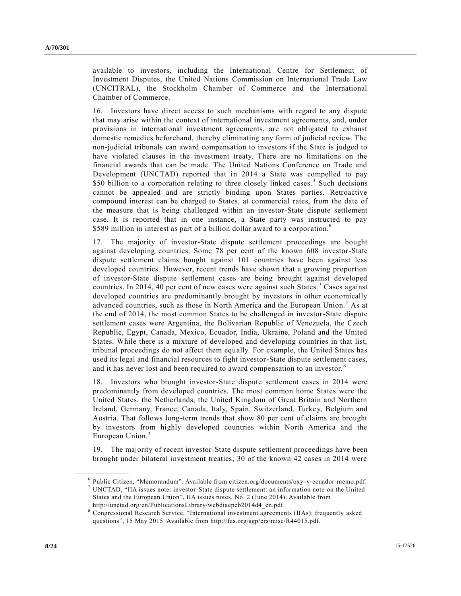available to investors, including the International Centre for Settlement of Investment Disputes, the United Nations Commission on International Trade Law (UNCITRAL), the Stockholm Chamber of Commerce and the International Chamber of Commerce.

16. Investors have direct access to such mechanisms with regard to any dispute that may arise within the context of international investment agreements, and, under provisions in international investment agreements, are not obligated to exhaust domestic remedies beforehand, thereby eliminating any form of judicial review. The non-judicial tribunals can award compensation to investors if the State is judged to have violated clauses in the investment treaty. There are no limitations on the financial awards that can be made. The United Nations Conference on Trade and Development (UNCTAD) reported that in 2014 a State was compelled to pay \$50 billion to a corporation relating to three closely linked cases.<sup>3</sup> Such decisions cannot be appealed and are strictly binding upon States parties. Retroactive compound interest can be charged to States, at commercial rates, from the date of the measure that is being challenged within an investor-State dispute settlement case. It is reported that in one instance, a State party was instructed to pay \$589 million in interest as part of a billion dollar award to a corporation.<sup>6</sup>

17. The majority of investor-State dispute settlement proceedings are bought against developing countries. Some 78 per cent of the known 608 investor-State dispute settlement claims bought against 101 countries have been against less developed countries. However, recent trends have shown that a growing proportion of investor-State dispute settlement cases are being brought against developed countries. In 2014, 40 per cent of new cases were against such States.<sup>3</sup> Cases against developed countries are predominantly brought by investors in other economically advanced countries, such as those in North America and the European Union. <sup>7</sup> As at the end of 2014, the most common States to be challenged in investor-State dispute settlement cases were Argentina, the Bolivarian Republic of Venezuela, the Czech Republic, Egypt, Canada, Mexico, Ecuador, India, Ukraine, Poland and the United States. While there is a mixture of developed and developing countries in that list, tribunal proceedings do not affect them equally. For example, the United States has used its legal and financial resources to fight investor-State dispute settlement cases, and it has never lost and been required to award compensation to an investor.<sup>8</sup>

18. Investors who brought investor-State dispute settlement cases in 2014 were predominantly from developed countries. The most common home States were the United States, the Netherlands, the United Kingdom of Great Britain and Northern Ireland, Germany, France, Canada, Italy, Spain, Switzerland, Turkey, Belgium and Austria. That follows long-term trends that show 80 per cent of claims are brought by investors from highly developed countries within North America and the European Union.<sup>3</sup>

19. The majority of recent investor-State dispute settlement proceedings have been brought under bilateral investment treaties; 30 of the known 42 cases in 2014 were

<sup>6</sup> Public Citizen, "Memorandum". Available from citizen.org/documents/oxy-v-ecuador-memo.pdf. <sup>7</sup> UNCTAD, "IIA issues note: investor-State dispute settlement: an information note on the United States and the European Union", IIA issues notes, No. 2 (June 2014). Available from http://unctad.org/en/PublicationsLibrary/webdiaepcb2014d4\_en.pdf.

<sup>8</sup> Congressional Research Service, "International investment agreements (IIAs): frequently asked questions", 15 May 2015. Available from http://fas.org/sgp/crs/misc/R44015.pdf.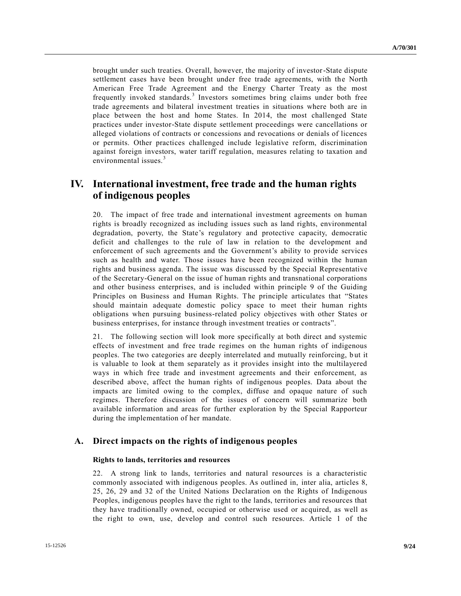brought under such treaties. Overall, however, the majority of investor-State dispute settlement cases have been brought under free trade agreements, with the North American Free Trade Agreement and the Energy Charter Treaty as the most frequently invoked standards.<sup>3</sup> Investors sometimes bring claims under both free trade agreements and bilateral investment treaties in situations where both are in place between the host and home States. In 2014, the most challenged State practices under investor-State dispute settlement proceedings were cancellations or alleged violations of contracts or concessions and revocations or denials of licences or permits. Other practices challenged include legislative reform, discrimination against foreign investors, water tariff regulation, measures relating to taxation and environmental issues.<sup>3</sup>

# **IV. International investment, free trade and the human rights of indigenous peoples**

20. The impact of free trade and international investment agreements on human rights is broadly recognized as including issues such as land rights, environmental degradation, poverty, the State's regulatory and protective capacity, democratic deficit and challenges to the rule of law in relation to the development and enforcement of such agreements and the Government's ability to provide services such as health and water. Those issues have been recognized within the human rights and business agenda. The issue was discussed by the Special Representative of the Secretary-General on the issue of human rights and transnational corporations and other business enterprises, and is included within principle 9 of the Guiding Principles on Business and Human Rights. The principle articulates that "States should maintain adequate domestic policy space to meet their human rights obligations when pursuing business-related policy objectives with other States or business enterprises, for instance through investment treaties or contracts".

21. The following section will look more specifically at both direct and systemic effects of investment and free trade regimes on the human rights of indigenous peoples. The two categories are deeply interrelated and mutually reinforcing, b ut it is valuable to look at them separately as it provides insight into the multilayered ways in which free trade and investment agreements and their enforcement, as described above, affect the human rights of indigenous peoples. Data about the impacts are limited owing to the complex, diffuse and opaque nature of such regimes. Therefore discussion of the issues of concern will summarize both available information and areas for further exploration by the Special Rapporteur during the implementation of her mandate.

## **A. Direct impacts on the rights of indigenous peoples**

#### **Rights to lands, territories and resources**

22. A strong link to lands, territories and natural resources is a characteristic commonly associated with indigenous peoples. As outlined in, inter alia, articles 8, 25, 26, 29 and 32 of the United Nations Declaration on the Rights of Indigenous Peoples, indigenous peoples have the right to the lands, territories and resources that they have traditionally owned, occupied or otherwise used or acquired, as well as the right to own, use, develop and control such resources. Article 1 of the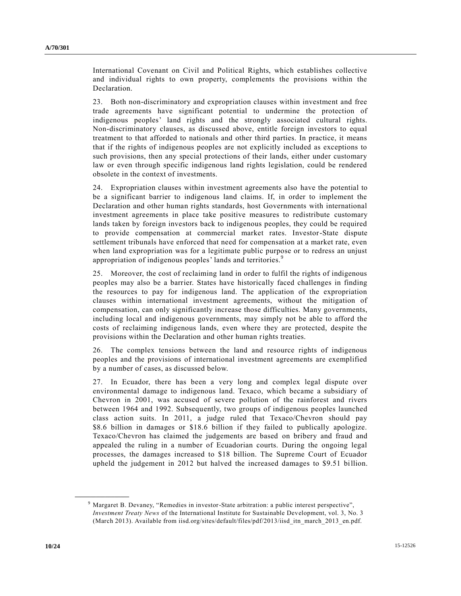International Covenant on Civil and Political Rights, which establishes collective and individual rights to own property, complements the provisions within the Declaration.

23. Both non-discriminatory and expropriation clauses within investment and free trade agreements have significant potential to undermine the protection of indigenous peoples' land rights and the strongly associated cultural rights. Non-discriminatory clauses, as discussed above, entitle foreign investors to equal treatment to that afforded to nationals and other third parties. In practice, it means that if the rights of indigenous peoples are not explicitly included as exceptions to such provisions, then any special protections of their lands, either under customary law or even through specific indigenous land rights legislation, could be rendered obsolete in the context of investments.

24. Expropriation clauses within investment agreements also have the potential to be a significant barrier to indigenous land claims. If, in order to implement the Declaration and other human rights standards, host Governments with international investment agreements in place take positive measures to redistribute customary lands taken by foreign investors back to indigenous peoples, they could be required to provide compensation at commercial market rates. Investor-State dispute settlement tribunals have enforced that need for compensation at a market rate, even when land expropriation was for a legitimate public purpose or to redress an unjust appropriation of indigenous peoples' lands and territories.<sup>9</sup>

25. Moreover, the cost of reclaiming land in order to fulfil the rights of indigenous peoples may also be a barrier. States have historically faced challenges in finding the resources to pay for indigenous land. The application of the expropriation clauses within international investment agreements, without the mitigation of compensation, can only significantly increase those difficulties. Many governments, including local and indigenous governments, may simply not be able to afford the costs of reclaiming indigenous lands, even where they are protected, despite the provisions within the Declaration and other human rights treaties.

26. The complex tensions between the land and resource rights of indigenous peoples and the provisions of international investment agreements are exemplified by a number of cases, as discussed below.

27. In Ecuador, there has been a very long and complex legal dispute over environmental damage to indigenous land. Texaco, which became a subsidiary of Chevron in 2001, was accused of severe pollution of the rainforest and rivers between 1964 and 1992. Subsequently, two groups of indigenous peoples launched class action suits. In 2011, a judge ruled that Texaco/Chevron should pay \$8.6 billion in damages or \$18.6 billion if they failed to publically apologize. Texaco/Chevron has claimed the judgements are based on bribery and fraud and appealed the ruling in a number of Ecuadorian courts. During the ongoing legal processes, the damages increased to \$18 billion. The Supreme Court of Ecuador upheld the judgement in 2012 but halved the increased damages to \$9.51 billion.

<sup>9</sup> Margaret B. Devaney, "Remedies in investor-State arbitration: a public interest perspective", *Investment Treaty News* of the International Institute for Sustainable Development, vol. 3, No. 3 (March 2013). Available from iisd.org/sites/default/files/pdf/2013/iisd\_itn\_march\_2013\_en.pdf.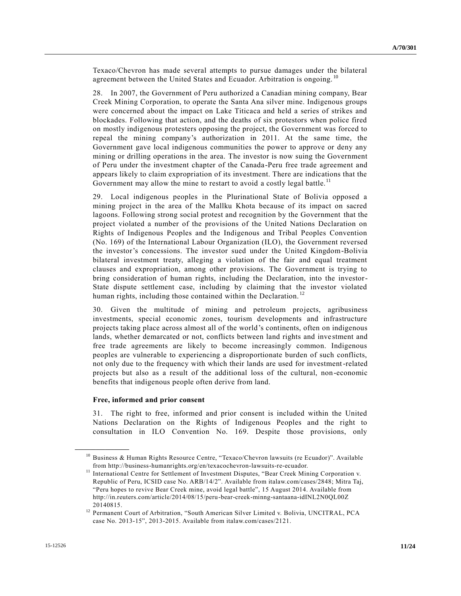Texaco/Chevron has made several attempts to pursue damages under the bilateral agreement between the United States and Ecuador. Arbitration is ongoing.<sup>10</sup>

28. In 2007, the Government of Peru authorized a Canadian mining company, Bear Creek Mining Corporation, to operate the Santa Ana silver mine. Indigenous groups were concerned about the impact on Lake Titicaca and held a series of strikes and blockades. Following that action, and the deaths of six protestors when police fired on mostly indigenous protesters opposing the project, the Government was forced to repeal the mining company's authorization in 2011. At the same time, the Government gave local indigenous communities the power to approve or deny any mining or drilling operations in the area. The investor is now suing the Government of Peru under the investment chapter of the Canada-Peru free trade agreement and appears likely to claim expropriation of its investment. There are indications that the Government may allow the mine to restart to avoid a costly legal battle.<sup>11</sup>

29. Local indigenous peoples in the Plurinational State of Bolivia opposed a mining project in the area of the Mallku Khota because of its impact on sacred lagoons. Following strong social protest and recognition by the Government that the project violated a number of the provisions of the United Nations Declaration on Rights of Indigenous Peoples and the Indigenous and Tribal Peoples Convention (No. 169) of the International Labour Organization (ILO), the Government reversed the investor's concessions. The investor sued under the United Kingdom-Bolivia bilateral investment treaty, alleging a violation of the fair and equal treatment clauses and expropriation, among other provisions. The Government is trying to bring consideration of human rights, including the Declaration, into the investor-State dispute settlement case, including by claiming that the investor violated human rights, including those contained within the Declaration.<sup>12</sup>

30. Given the multitude of mining and petroleum projects, agribusiness investments, special economic zones, tourism developments and infrastructure projects taking place across almost all of the world's continents, often on indigenous lands, whether demarcated or not, conflicts between land rights and inve stment and free trade agreements are likely to become increasingly common. Indigenous peoples are vulnerable to experiencing a disproportionate burden of such conflicts, not only due to the frequency with which their lands are used for investment-related projects but also as a result of the additional loss of the cultural, non-economic benefits that indigenous people often derive from land.

#### **Free, informed and prior consent**

**\_\_\_\_\_\_\_\_\_\_\_\_\_\_\_\_\_\_**

31. The right to free, informed and prior consent is included within the United Nations Declaration on the Rights of Indigenous Peoples and the right to consultation in ILO Convention No. 169. Despite those provisions, only

<sup>&</sup>lt;sup>10</sup> Business & Human Rights Resource Centre, "Texaco/Chevron lawsuits (re Ecuador)". Available from http://business-humanrights.org/en/texacochevron-lawsuits-re-ecuador.

<sup>&</sup>lt;sup>11</sup> International Centre for Settlement of Investment Disputes, "Bear Creek Mining Corporation v. Republic of Peru, ICSID case No. ARB/14/2". Available from italaw.com/cases/2848; Mitra Taj, "Peru hopes to revive Bear Creek mine, avoid legal battle", 15 August 2014. Available from http://in.reuters.com/article/2014/08/15/peru-bear-creek-minng-santaana-idINL2N0QL00Z 20140815.

<sup>&</sup>lt;sup>12</sup> Permanent Court of Arbitration, "South American Silver Limited v. Bolivia, UNCITRAL, PCA case No. 2013-15", 2013-2015. Available from italaw.com/cases/2121.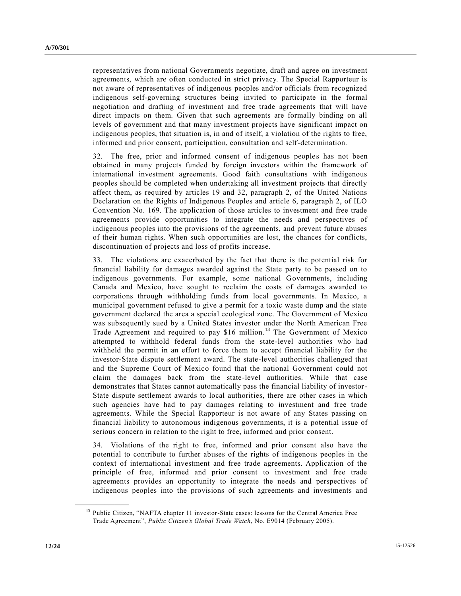representatives from national Governments negotiate, draft and agree on investment agreements, which are often conducted in strict privacy. The Special Rapporteur is not aware of representatives of indigenous peoples and/or officials from recognized indigenous self-governing structures being invited to participate in the formal negotiation and drafting of investment and free trade agreements that will have direct impacts on them. Given that such agreements are formally binding on all levels of government and that many investment projects have significant impact on indigenous peoples, that situation is, in and of itself, a violation of the rights to free, informed and prior consent, participation, consultation and self-determination.

32. The free, prior and informed consent of indigenous peoples has not been obtained in many projects funded by foreign investors within the framework of international investment agreements. Good faith consultations with indigenous peoples should be completed when undertaking all investment projects that directly affect them, as required by articles 19 and 32, paragraph 2, of the United Nations Declaration on the Rights of Indigenous Peoples and article 6, paragraph 2, of ILO Convention No. 169. The application of those articles to investment and free trade agreements provide opportunities to integrate the needs and perspectives of indigenous peoples into the provisions of the agreements, and prevent future abuses of their human rights. When such opportunities are lost, the chances for conflicts, discontinuation of projects and loss of profits increase.

33. The violations are exacerbated by the fact that there is the potential risk for financial liability for damages awarded against the State party to be passed on to indigenous governments. For example, some national Governments, including Canada and Mexico, have sought to reclaim the costs of damages awarded to corporations through withholding funds from local governments. In Mexico, a municipal government refused to give a permit for a toxic waste dump and the state government declared the area a special ecological zone. The Government of Mexico was subsequently sued by a United States investor under the North American Free Trade Agreement and required to pay \$16 million.<sup>13</sup> The Government of Mexico attempted to withhold federal funds from the state-level authorities who had withheld the permit in an effort to force them to accept financial liability for the investor-State dispute settlement award. The state-level authorities challenged that and the Supreme Court of Mexico found that the national Government could not claim the damages back from the state-level authorities. While that case demonstrates that States cannot automatically pass the financial liability of investor-State dispute settlement awards to local authorities, there are other cases in which such agencies have had to pay damages relating to investment and free trade agreements. While the Special Rapporteur is not aware of any States passing on financial liability to autonomous indigenous governments, it is a potential issue of serious concern in relation to the right to free, informed and prior consent.

34. Violations of the right to free, informed and prior consent also have the potential to contribute to further abuses of the rights of indigenous peoples in the context of international investment and free trade agreements. Application of the principle of free, informed and prior consent to investment and free trade agreements provides an opportunity to integrate the needs and perspectives of indigenous peoples into the provisions of such agreements and investments and

<sup>&</sup>lt;sup>13</sup> Public Citizen, "NAFTA chapter 11 investor-State cases: lessons for the Central America Free Trade Agreement", *Public Citizen's Global Trade Watch*, No. E9014 (February 2005).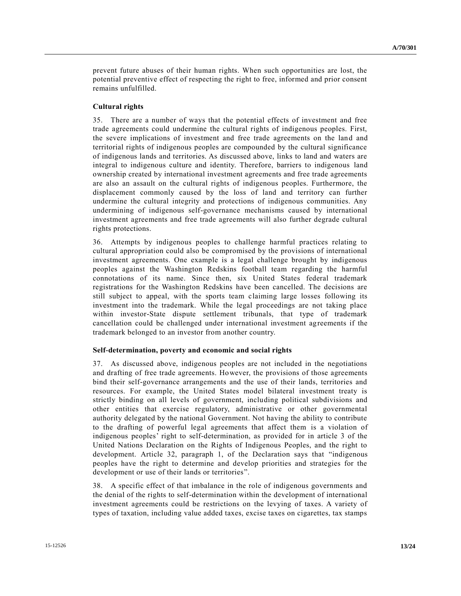prevent future abuses of their human rights. When such opportunities are lost, the potential preventive effect of respecting the right to free, informed and prior consent remains unfulfilled.

#### **Cultural rights**

35. There are a number of ways that the potential effects of investment and free trade agreements could undermine the cultural rights of indigenous peoples. First, the severe implications of investment and free trade agreements on the land and territorial rights of indigenous peoples are compounded by the cultural significance of indigenous lands and territories. As discussed above, links to land and waters are integral to indigenous culture and identity. Therefore, barriers to indigenous land ownership created by international investment agreements and free trade agreements are also an assault on the cultural rights of indigenous peoples. Furthermore, the displacement commonly caused by the loss of land and territory can further undermine the cultural integrity and protections of indigenous communities. Any undermining of indigenous self-governance mechanisms caused by international investment agreements and free trade agreements will also further degrade cultural rights protections.

36. Attempts by indigenous peoples to challenge harmful practices relating to cultural appropriation could also be compromised by the provisions of international investment agreements. One example is a legal challenge brought by indigenous peoples against the Washington Redskins football team regarding the harmful connotations of its name. Since then, six United States federal trademark registrations for the Washington Redskins have been cancelled. The decisions are still subject to appeal, with the sports team claiming large losses following its investment into the trademark. While the legal proceedings are not taking place within investor-State dispute settlement tribunals, that type of trademark cancellation could be challenged under international investment agreements if the trademark belonged to an investor from another country.

#### **Self-determination, poverty and economic and social rights**

37. As discussed above, indigenous peoples are not included in the negotiations and drafting of free trade agreements. However, the provisions of those agreements bind their self-governance arrangements and the use of their lands, territories and resources. For example, the United States model bilateral investment treaty is strictly binding on all levels of government, including political subdivisions and other entities that exercise regulatory, administrative or other governmental authority delegated by the national Government. Not having the ability to contribute to the drafting of powerful legal agreements that affect them is a violation of indigenous peoples' right to self-determination, as provided for in article 3 of the United Nations Declaration on the Rights of Indigenous Peoples, and the right to development. Article 32, paragraph 1, of the Declaration says that "indigenous peoples have the right to determine and develop priorities and strategies for the development or use of their lands or territories".

38. A specific effect of that imbalance in the role of indigenous governments and the denial of the rights to self-determination within the development of international investment agreements could be restrictions on the levying of taxes. A variety of types of taxation, including value added taxes, excise taxes on cigarettes, tax stamps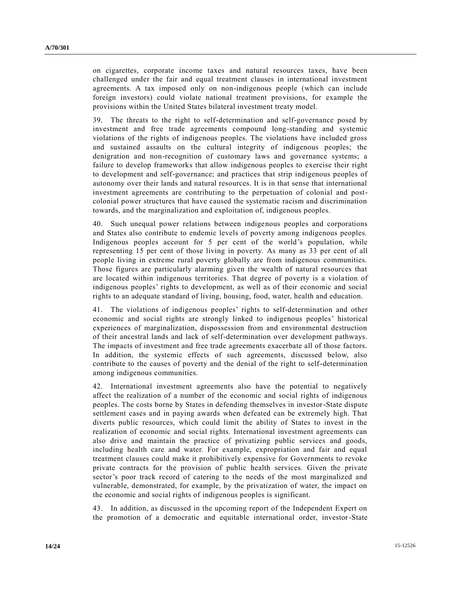on cigarettes, corporate income taxes and natural resources taxes, have been challenged under the fair and equal treatment clauses in international investment agreements. A tax imposed only on non-indigenous people (which can include foreign investors) could violate national treatment provisions, for example the provisions within the United States bilateral investment treaty model.

39. The threats to the right to self-determination and self-governance posed by investment and free trade agreements compound long-standing and systemic violations of the rights of indigenous peoples. The violations have included gross and sustained assaults on the cultural integrity of indigenous peoples; the denigration and non-recognition of customary laws and governance systems; a failure to develop frameworks that allow indigenous peoples to exercise their right to development and self-governance; and practices that strip indigenous peoples of autonomy over their lands and natural resources. It is in that sense that international investment agreements are contributing to the perpetuation of colonial and postcolonial power structures that have caused the systematic racism and discrimination towards, and the marginalization and exploitation of, indigenous peoples.

40. Such unequal power relations between indigenous peoples and corporations and States also contribute to endemic levels of poverty among indigenous peoples. Indigenous peoples account for 5 per cent of the world's population, while representing 15 per cent of those living in poverty. As many as 33 per cent of all people living in extreme rural poverty globally are from indigenous communities. Those figures are particularly alarming given the wealth of natural resources that are located within indigenous territories. That degree of poverty is a viola tion of indigenous peoples' rights to development, as well as of their economic and social rights to an adequate standard of living, housing, food, water, health and education.

41. The violations of indigenous peoples' rights to self-determination and other economic and social rights are strongly linked to indigenous peoples' historical experiences of marginalization, dispossession from and environmental destruction of their ancestral lands and lack of self-determination over development pathways. The impacts of investment and free trade agreements exacerbate all of those factors. In addition, the systemic effects of such agreements, discussed below, also contribute to the causes of poverty and the denial of the right to self-determination among indigenous communities.

42. International investment agreements also have the potential to negatively affect the realization of a number of the economic and social rights of indigenous peoples. The costs borne by States in defending themselves in investor-State dispute settlement cases and in paying awards when defeated can be extremely high. That diverts public resources, which could limit the ability of States to invest in the realization of economic and social rights. International investment agreements can also drive and maintain the practice of privatizing public services and goods, including health care and water. For example, expropriation and fair and equal treatment clauses could make it prohibitively expensive for Governments to revoke private contracts for the provision of public health services. Given the private sector's poor track record of catering to the needs of the most marginalized and vulnerable, demonstrated, for example, by the privatization of water, the impact on the economic and social rights of indigenous peoples is significant.

43. In addition, as discussed in the upcoming report of the Independent Expert on the promotion of a democratic and equitable international order, investor-State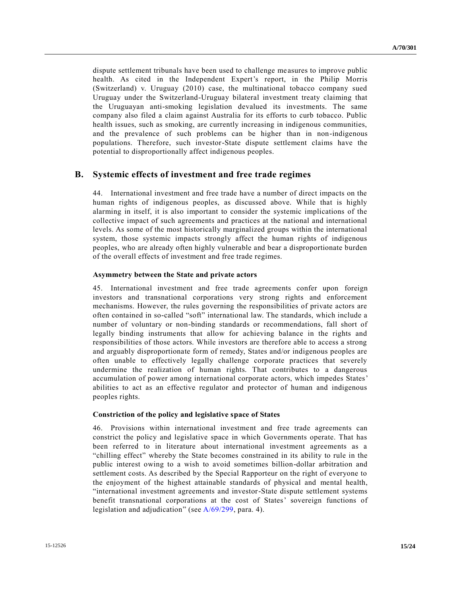dispute settlement tribunals have been used to challenge measures to improve public health. As cited in the Independent Expert's report, in the Philip Morris (Switzerland) v. Uruguay (2010) case, the multinational tobacco company sued Uruguay under the Switzerland-Uruguay bilateral investment treaty claiming that the Uruguayan anti-smoking legislation devalued its investments. The same company also filed a claim against Australia for its efforts to curb tobacco. Public health issues, such as smoking, are currently increasing in indigenous communities, and the prevalence of such problems can be higher than in non-indigenous populations. Therefore, such investor-State dispute settlement claims have the potential to disproportionally affect indigenous peoples.

### **B. Systemic effects of investment and free trade regimes**

44. International investment and free trade have a number of direct impacts on the human rights of indigenous peoples, as discussed above. While that is highly alarming in itself, it is also important to consider the systemic implications of the collective impact of such agreements and practices at the national and international levels. As some of the most historically marginalized groups within the international system, those systemic impacts strongly affect the human rights of indigenous peoples, who are already often highly vulnerable and bear a disproportionate burden of the overall effects of investment and free trade regimes.

#### **Asymmetry between the State and private actors**

45. International investment and free trade agreements confer upon foreign investors and transnational corporations very strong rights and enforcement mechanisms. However, the rules governing the responsibilities of private actors are often contained in so-called "soft" international law. The standards, which include a number of voluntary or non-binding standards or recommendations, fall short of legally binding instruments that allow for achieving balance in the rights and responsibilities of those actors. While investors are therefore able to access a strong and arguably disproportionate form of remedy, States and/or indigenous peoples are often unable to effectively legally challenge corporate practices that severely undermine the realization of human rights. That contributes to a dangerous accumulation of power among international corporate actors, which impedes States' abilities to act as an effective regulator and protector of human and indigenous peoples rights.

#### **Constriction of the policy and legislative space of States**

46. Provisions within international investment and free trade agreements can constrict the policy and legislative space in which Governments operate. That has been referred to in literature about international investment agreements as a "chilling effect" whereby the State becomes constrained in its ability to rule in the public interest owing to a wish to avoid sometimes billion-dollar arbitration and settlement costs. As described by the Special Rapporteur on the right of everyone to the enjoyment of the highest attainable standards of physical and mental health, "international investment agreements and investor-State dispute settlement systems benefit transnational corporations at the cost of States' sovereign functions of legislation and adjudication" (see [A/69/299,](http://undocs.org/A/69/299) para. 4).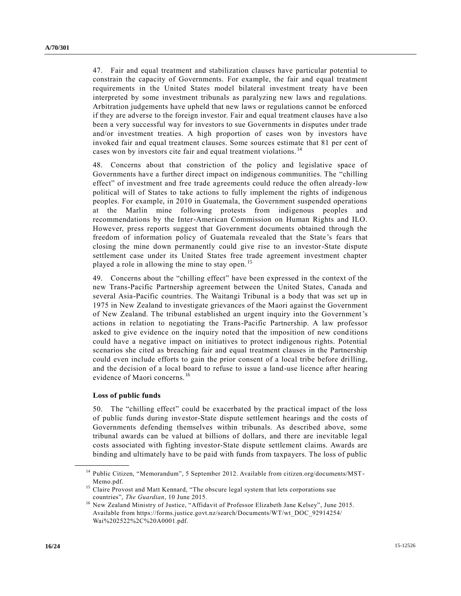47. Fair and equal treatment and stabilization clauses have particular potential to constrain the capacity of Governments. For example, the fair and equal treatment requirements in the United States model bilateral investment treaty ha ve been interpreted by some investment tribunals as paralyzing new laws and regulations. Arbitration judgements have upheld that new laws or regulations cannot be enforced if they are adverse to the foreign investor. Fair and equal treatment clauses have a lso been a very successful way for investors to sue Governments in disputes under trade and/or investment treaties. A high proportion of cases won by investors have invoked fair and equal treatment clauses. Some sources estimate that 81 per cent of cases won by investors cite fair and equal treatment violations.<sup>14</sup>

48. Concerns about that constriction of the policy and legislative space of Governments have a further direct impact on indigenous communities. The "chilling effect" of investment and free trade agreements could reduce the often already-low political will of States to take actions to fully implement the rights of indigenous peoples. For example, in 2010 in Guatemala, the Government suspended operations at the Marlin mine following protests from indigenous peoples and recommendations by the Inter-American Commission on Human Rights and ILO. However, press reports suggest that Government documents obtained through the freedom of information policy of Guatemala revealed that the State 's fears that closing the mine down permanently could give rise to an investor-State dispute settlement case under its United States free trade agreement investment chapter played a role in allowing the mine to stay open.<sup>15</sup>

49. Concerns about the "chilling effect" have been expressed in the context of the new Trans-Pacific Partnership agreement between the United States, Canada and several Asia-Pacific countries. The Waitangi Tribunal is a body that was set up in 1975 in New Zealand to investigate grievances of the Maori against the Government of New Zealand. The tribunal established an urgent inquiry into the Government's actions in relation to negotiating the Trans-Pacific Partnership. A law professor asked to give evidence on the inquiry noted that the imposition of new conditions could have a negative impact on initiatives to protect indigenous rights. Potential scenarios she cited as breaching fair and equal treatment clauses in the Partnership could even include efforts to gain the prior consent of a local tribe before drilling, and the decision of a local board to refuse to issue a land-use licence after hearing evidence of Maori concerns.<sup>16</sup>

#### **Loss of public funds**

**\_\_\_\_\_\_\_\_\_\_\_\_\_\_\_\_\_\_**

50. The "chilling effect" could be exacerbated by the practical impact of the loss of public funds during investor-State dispute settlement hearings and the costs of Governments defending themselves within tribunals. As described above, some tribunal awards can be valued at billions of dollars, and there are inevitable legal costs associated with fighting investor-State dispute settlement claims. Awards are binding and ultimately have to be paid with funds from taxpayers. The loss of public

<sup>&</sup>lt;sup>14</sup> Public Citizen, "Memorandum", 5 September 2012. Available from citizen.org/documents/MST-Memo.pdf.

<sup>&</sup>lt;sup>15</sup> Claire Provost and Matt Kennard, "The obscure legal system that lets corporations sue countries", *The Guardian*, 10 June 2015.

<sup>&</sup>lt;sup>16</sup> New Zealand Ministry of Justice, "Affidavit of Professor Elizabeth Jane Kelsey", June 2015. Available from https://forms.justice.govt.nz/search/Documents/WT/wt\_DOC\_92914254/ Wai%202522%2C%20A0001.pdf.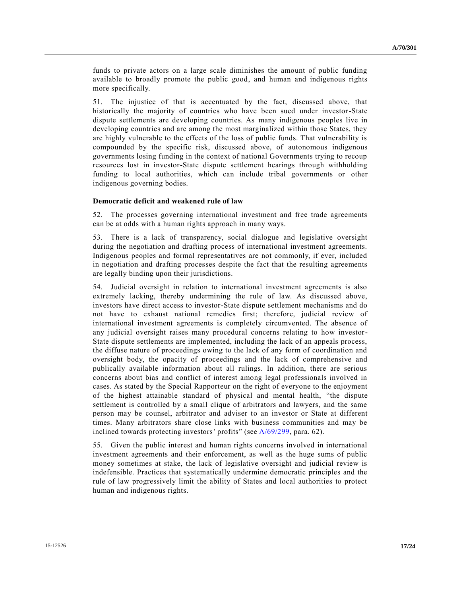funds to private actors on a large scale diminishes the amount of public funding available to broadly promote the public good, and human and indigenous rights more specifically.

51. The injustice of that is accentuated by the fact, discussed above, that historically the majority of countries who have been sued under investor-State dispute settlements are developing countries. As many indigenous peoples live in developing countries and are among the most marginalized within those States, they are highly vulnerable to the effects of the loss of public funds. That vulnerability is compounded by the specific risk, discussed above, of autonomous indigenous governments losing funding in the context of national Governments trying to recoup resources lost in investor-State dispute settlement hearings through withholding funding to local authorities, which can include tribal governments or other indigenous governing bodies.

#### **Democratic deficit and weakened rule of law**

52. The processes governing international investment and free trade agreements can be at odds with a human rights approach in many ways.

53. There is a lack of transparency, social dialogue and legislative oversight during the negotiation and drafting process of international investment agreements. Indigenous peoples and formal representatives are not commonly, if ever, included in negotiation and drafting processes despite the fact that the resulting agreements are legally binding upon their jurisdictions.

54. Judicial oversight in relation to international investment agreements is also extremely lacking, thereby undermining the rule of law. As discussed above, investors have direct access to investor-State dispute settlement mechanisms and do not have to exhaust national remedies first; therefore, judicial review of international investment agreements is completely circumvented. The absence of any judicial oversight raises many procedural concerns relating to how investor-State dispute settlements are implemented, including the lack of an appeals process, the diffuse nature of proceedings owing to the lack of any form of coordination and oversight body, the opacity of proceedings and the lack of comprehensive and publically available information about all rulings. In addition, there are serious concerns about bias and conflict of interest among legal professionals involved in cases. As stated by the Special Rapporteur on the right of everyone to the enjoyment of the highest attainable standard of physical and mental health, "the dispute settlement is controlled by a small clique of arbitrators and lawyers, and the same person may be counsel, arbitrator and adviser to an investor or State at different times. Many arbitrators share close links with business communities and may be inclined towards protecting investors' profits" (see [A/69/299,](http://undocs.org/A/69/299) para. 62).

55. Given the public interest and human rights concerns involved in international investment agreements and their enforcement, as well as the huge sums of public money sometimes at stake, the lack of legislative oversight and judicial review is indefensible. Practices that systematically undermine democratic principles and the rule of law progressively limit the ability of States and local authorities to protect human and indigenous rights.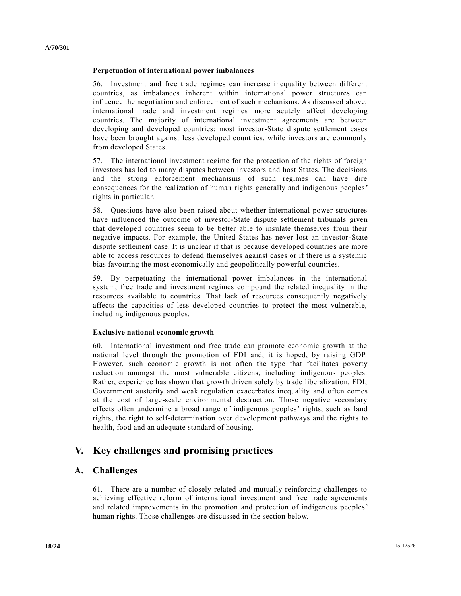#### **Perpetuation of international power imbalances**

56. Investment and free trade regimes can increase inequality between different countries, as imbalances inherent within international power structures can influence the negotiation and enforcement of such mechanisms. As discussed above, international trade and investment regimes more acutely affect developing countries. The majority of international investment agreements are between developing and developed countries; most investor-State dispute settlement cases have been brought against less developed countries, while investors are commonly from developed States.

57. The international investment regime for the protection of the rights of foreign investors has led to many disputes between investors and host States. The decisions and the strong enforcement mechanisms of such regimes can have dire consequences for the realization of human rights generally and indigenous peoples' rights in particular.

58. Questions have also been raised about whether international power structures have influenced the outcome of investor-State dispute settlement tribunals given that developed countries seem to be better able to insulate themselves from their negative impacts. For example, the United States has never lost an investor-State dispute settlement case. It is unclear if that is because developed countries are more able to access resources to defend themselves against cases or if there is a systemic bias favouring the most economically and geopolitically powerful countries.

59. By perpetuating the international power imbalances in the international system, free trade and investment regimes compound the related inequality in the resources available to countries. That lack of resources consequently negatively affects the capacities of less developed countries to protect the most vulnerable, including indigenous peoples.

#### **Exclusive national economic growth**

60. International investment and free trade can promote economic growth at the national level through the promotion of FDI and, it is hoped, by raising GDP. However, such economic growth is not often the type that facilitates poverty reduction amongst the most vulnerable citizens, including indigenous peoples. Rather, experience has shown that growth driven solely by trade liberalization, FDI, Government austerity and weak regulation exacerbates inequality and often comes at the cost of large-scale environmental destruction. Those negative secondary effects often undermine a broad range of indigenous peoples' rights, such as land rights, the right to self-determination over development pathways and the rights to health, food and an adequate standard of housing.

# **V. Key challenges and promising practices**

## **A. Challenges**

61. There are a number of closely related and mutually reinforcing challenges to achieving effective reform of international investment and free trade agreements and related improvements in the promotion and protection of indigenous peoples' human rights. Those challenges are discussed in the section below.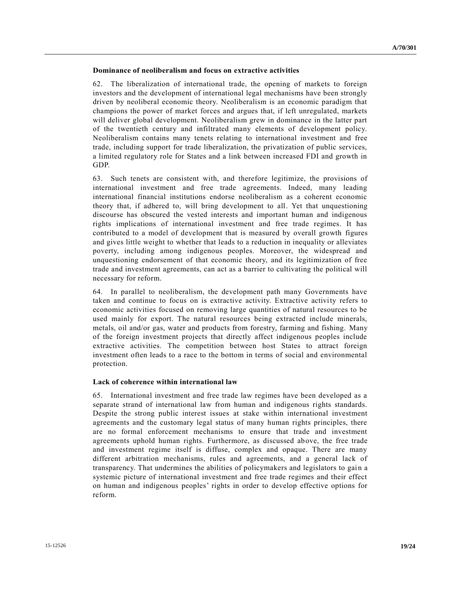### **Dominance of neoliberalism and focus on extractive activities**

62. The liberalization of international trade, the opening of markets to foreign investors and the development of international legal mechanisms have been strongly driven by neoliberal economic theory. Neoliberalism is an economic paradigm that champions the power of market forces and argues that, if left unregulated, markets will deliver global development. Neoliberalism grew in dominance in the latter part of the twentieth century and infiltrated many elements of development policy. Neoliberalism contains many tenets relating to international investment and free trade, including support for trade liberalization, the privatization of public services, a limited regulatory role for States and a link between increased FDI and growth in GDP.

63. Such tenets are consistent with, and therefore legitimize, the provisions of international investment and free trade agreements. Indeed, many leading international financial institutions endorse neoliberalism as a coherent economic theory that, if adhered to, will bring development to all. Yet that unquestioning discourse has obscured the vested interests and important human and indigenous rights implications of international investment and free trade regimes. It has contributed to a model of development that is measured by overall growth figures and gives little weight to whether that leads to a reduction in inequality or alleviates poverty, including among indigenous peoples. Moreover, the widespread and unquestioning endorsement of that economic theory, and its legitimization of free trade and investment agreements, can act as a barrier to cultivating the political will necessary for reform.

64. In parallel to neoliberalism, the development path many Governments have taken and continue to focus on is extractive activity. Extractive activity refers to economic activities focused on removing large quantities of natural resources to be used mainly for export. The natural resources being extracted include minerals, metals, oil and/or gas, water and products from forestry, farming and fishing. Many of the foreign investment projects that directly affect indigenous peoples include extractive activities. The competition between host States to attract foreign investment often leads to a race to the bottom in terms of social and environmental protection.

#### **Lack of coherence within international law**

65. International investment and free trade law regimes have been developed as a separate strand of international law from human and indigenous rights standards. Despite the strong public interest issues at stake within international investment agreements and the customary legal status of many human rights principles, there are no formal enforcement mechanisms to ensure that trade and investment agreements uphold human rights. Furthermore, as discussed above, the free trade and investment regime itself is diffuse, complex and opaque. There are many different arbitration mechanisms, rules and agreements, and a general lack of transparency. That undermines the abilities of policymakers and legislators to gai n a systemic picture of international investment and free trade regimes and their effect on human and indigenous peoples' rights in order to develop effective options for reform.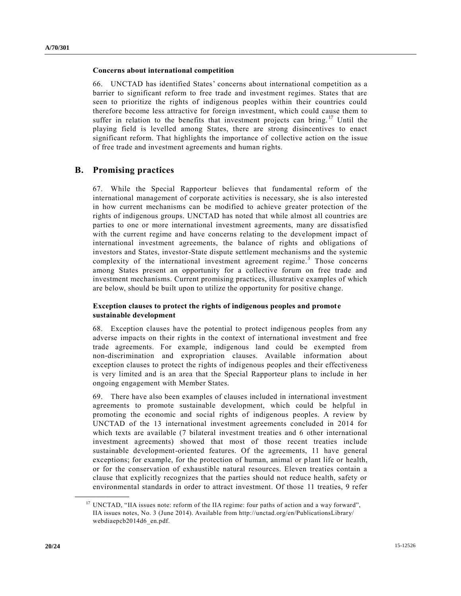#### **Concerns about international competition**

66. UNCTAD has identified States' concerns about international competition as a barrier to significant reform to free trade and investment regimes. States that are seen to prioritize the rights of indigenous peoples within their countries could therefore become less attractive for foreign investment, which could cause them to suffer in relation to the benefits that investment projects can bring.<sup>17</sup> Until the playing field is levelled among States, there are strong disincentives to enact significant reform. That highlights the importance of collective action on the issue of free trade and investment agreements and human rights.

## **B. Promising practices**

67. While the Special Rapporteur believes that fundamental reform of the international management of corporate activities is necessary, she is also interested in how current mechanisms can be modified to achieve greater protection of the rights of indigenous groups. UNCTAD has noted that while almost all countries are parties to one or more international investment agreements, many are dissatisfied with the current regime and have concerns relating to the development impact of international investment agreements, the balance of rights and obligations of investors and States, investor-State dispute settlement mechanisms and the systemic complexity of the international investment agreement regime.<sup>3</sup> Those concerns among States present an opportunity for a collective forum on free trade and investment mechanisms. Current promising practices, illustrative examples of which are below, should be built upon to utilize the opportunity for positive change.

### **Exception clauses to protect the rights of indigenous peoples and promote sustainable development**

68. Exception clauses have the potential to protect indigenous peoples from any adverse impacts on their rights in the context of international investment and free trade agreements. For example, indigenous land could be exempted from non-discrimination and expropriation clauses. Available information about exception clauses to protect the rights of indigenous peoples and their effectiveness is very limited and is an area that the Special Rapporteur plans to include in her ongoing engagement with Member States.

69. There have also been examples of clauses included in international investment agreements to promote sustainable development, which could be helpful in promoting the economic and social rights of indigenous peoples. A review by UNCTAD of the 13 international investment agreements concluded in 2014 for which texts are available (7 bilateral investment treaties and 6 other international investment agreements) showed that most of those recent treaties include sustainable development-oriented features. Of the agreements, 11 have general exceptions; for example, for the protection of human, animal or plant life or health, or for the conservation of exhaustible natural resources. Eleven treaties contain a clause that explicitly recognizes that the parties should not reduce health, safety or environmental standards in order to attract investment. Of those 11 treaties, 9 refer

<sup>&</sup>lt;sup>17</sup> UNCTAD, "IIA issues note: reform of the IIA regime: four paths of action and a way forward", IIA issues notes, No. 3 (June 2014). Available from http://unctad.org/en/PublicationsLibrary/ webdiaepcb2014d6\_en.pdf.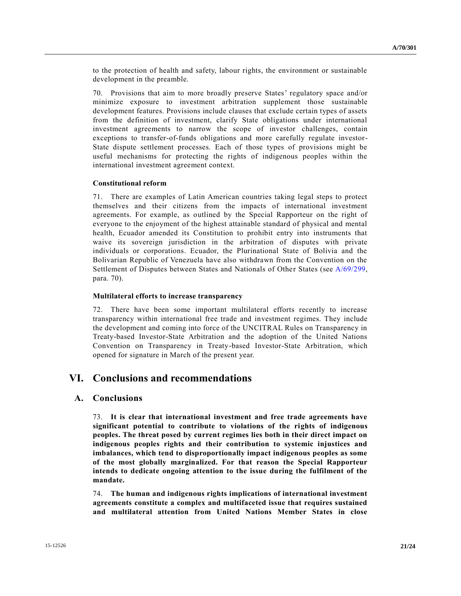to the protection of health and safety, labour rights, the environment or sustainable development in the preamble.

70. Provisions that aim to more broadly preserve States' regulatory space and/or minimize exposure to investment arbitration supplement those sustainable development features. Provisions include clauses that exclude certain types of assets from the definition of investment, clarify State obligations under international investment agreements to narrow the scope of investor challenges, contain exceptions to transfer-of-funds obligations and more carefully regulate investor-State dispute settlement processes. Each of those types of provisions might be useful mechanisms for protecting the rights of indigenous peoples within the international investment agreement context.

#### **Constitutional reform**

71. There are examples of Latin American countries taking legal steps to protect themselves and their citizens from the impacts of international investment agreements. For example, as outlined by the Special Rapporteur on the right of everyone to the enjoyment of the highest attainable standard of physical and mental health, Ecuador amended its Constitution to prohibit entry into instruments that waive its sovereign jurisdiction in the arbitration of disputes with private individuals or corporations. Ecuador, the Plurinational State of Bolivia and the Bolivarian Republic of Venezuela have also withdrawn from the Convention on the Settlement of Disputes between States and Nationals of Other States (see [A/69/299,](http://undocs.org/A/69/299) para. 70).

### **Multilateral efforts to increase transparency**

72. There have been some important multilateral efforts recently to increase transparency within international free trade and investment regimes. They include the development and coming into force of the UNCITRAL Rules on Transparency in Treaty-based Investor-State Arbitration and the adoption of the United Nations Convention on Transparency in Treaty-based Investor-State Arbitration, which opened for signature in March of the present year.

# **VI. Conclusions and recommendations**

## **A. Conclusions**

73. **It is clear that international investment and free trade agreements have significant potential to contribute to violations of the rights of indigenous peoples. The threat posed by current regimes lies both in their direct impact on indigenous peoples rights and their contribution to systemic injustices and imbalances, which tend to disproportionally impact indigenous peoples as some of the most globally marginalized. For that reason the Special Rapporteur intends to dedicate ongoing attention to the issue during the fulfilment of the mandate.**

74. **The human and indigenous rights implications of international investment agreements constitute a complex and multifaceted issue that requires sustained and multilateral attention from United Nations Member States in close**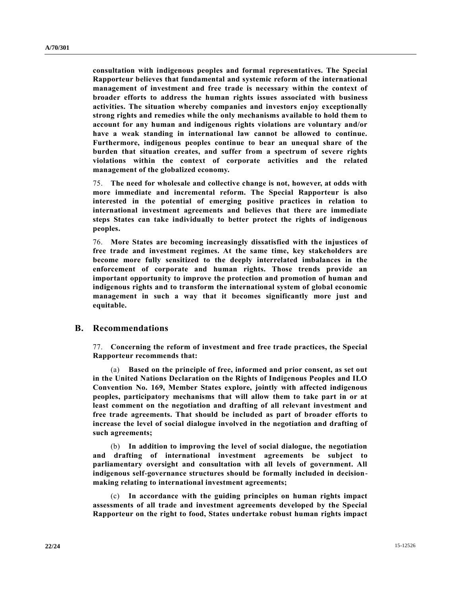**consultation with indigenous peoples and formal representatives. The Special Rapporteur believes that fundamental and systemic reform of the international management of investment and free trade is necessary within the context of broader efforts to address the human rights issues associated with business activities. The situation whereby companies and investors enjoy exceptionally strong rights and remedies while the only mechanisms available to hold them to account for any human and indigenous rights violations are voluntary and/or have a weak standing in international law cannot be allowed to continue. Furthermore, indigenous peoples continue to bear an unequal share of the burden that situation creates, and suffer from a spectrum of severe rights violations within the context of corporate activities and the related management of the globalized economy.**

75. **The need for wholesale and collective change is not, however, at odds with more immediate and incremental reform. The Special Rapporteur is also interested in the potential of emerging positive practices in relation to international investment agreements and believes that there are immediate steps States can take individually to better protect the rights of indigenous peoples.**

76. **More States are becoming increasingly dissatisfied with the injustices of free trade and investment regimes. At the same time, key stakeholders are become more fully sensitized to the deeply interrelated imbalances in the enforcement of corporate and human rights. Those trends provide an important opportunity to improve the protection and promotion of human and indigenous rights and to transform the international system of global economic management in such a way that it becomes significantly more just and equitable.**

#### **B. Recommendations**

77. **Concerning the reform of investment and free trade practices, the Special Rapporteur recommends that:**

(a) **Based on the principle of free, informed and prior consent, as set out in the United Nations Declaration on the Rights of Indigenous Peoples and ILO Convention No. 169, Member States explore, jointly with affected indigenous peoples, participatory mechanisms that will allow them to take part in or at least comment on the negotiation and drafting of all relevant investment and free trade agreements. That should be included as part of broader efforts to increase the level of social dialogue involved in the negotiation and drafting of such agreements;**

(b) **In addition to improving the level of social dialogue, the negotiation and drafting of international investment agreements be subject to parliamentary oversight and consultation with all levels of government. All indigenous self-governance structures should be formally included in decisionmaking relating to international investment agreements;**

(c) **In accordance with the guiding principles on human rights impact assessments of all trade and investment agreements developed by the Special Rapporteur on the right to food, States undertake robust human rights impact**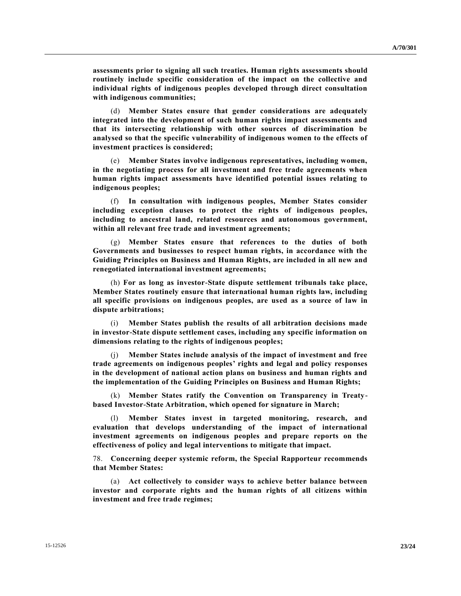**assessments prior to signing all such treaties. Human rights assessments should routinely include specific consideration of the impact on the collective and individual rights of indigenous peoples developed through direct consultation with indigenous communities;**

(d) **Member States ensure that gender considerations are adequately integrated into the development of such human rights impact assessments and that its intersecting relationship with other sources of discrimination be analysed so that the specific vulnerability of indigenous women to the effects of investment practices is considered;**

(e) **Member States involve indigenous representatives, including women, in the negotiating process for all investment and free trade agreements when human rights impact assessments have identified potential issues relating to indigenous peoples;**

(f) **In consultation with indigenous peoples, Member States consider including exception clauses to protect the rights of indigenous peoples, including to ancestral land, related resources and autonomous government, within all relevant free trade and investment agreements;**

(g) **Member States ensure that references to the duties of both Governments and businesses to respect human rights, in accordance with the Guiding Principles on Business and Human Rights, are included in all new and renegotiated international investment agreements;**

(h) **For as long as investor-State dispute settlement tribunals take place, Member States routinely ensure that international human rights law, including all specific provisions on indigenous peoples, are used as a source of law in dispute arbitrations;**

(i) **Member States publish the results of all arbitration decisions made in investor-State dispute settlement cases, including any specific information on dimensions relating to the rights of indigenous peoples;**

(j) **Member States include analysis of the impact of investment and free trade agreements on indigenous peoples' rights and legal and policy responses in the development of national action plans on business and human rights and the implementation of the Guiding Principles on Business and Human Rights;**

(k) **Member States ratify the Convention on Transparency in Treatybased Investor-State Arbitration, which opened for signature in March;**

(l) **Member States invest in targeted monitoring, research, and evaluation that develops understanding of the impact of international investment agreements on indigenous peoples and prepare reports on the effectiveness of policy and legal interventions to mitigate that impact.**

78. **Concerning deeper systemic reform, the Special Rapporteur recommends that Member States:**

(a) **Act collectively to consider ways to achieve better balance between investor and corporate rights and the human rights of all citizens within investment and free trade regimes;**